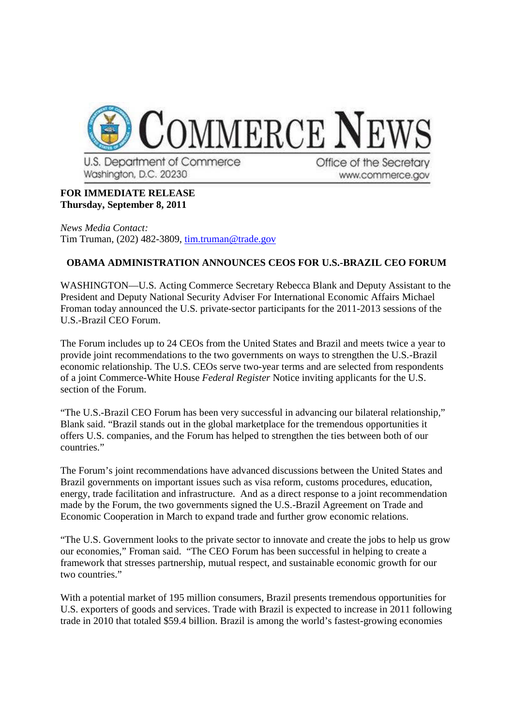

U.S. Department of Commerce Washington, D.C. 20230

Office of the Secretary www.commerce.gov

## **FOR IMMEDIATE RELEASE Thursday, September 8, 2011**

*News Media Contact:* Tim Truman, (202) 482-3809, tim.truman@trade.gov

## **OBAMA ADMINISTRATION ANNOUNCES CEOS FOR U.S.-BRAZIL CEO FORUM**

WASHINGTON—U.S. Acting Commerce Secretary Rebecca Blank and Deputy Assistant to the President and Deputy National Security Adviser For International Economic Affairs Michael Froman today announced the U.S. private-sector participants for the 2011-2013 sessions of the U.S.-Brazil CEO Forum.

The Forum includes up to 24 CEOs from the United States and Brazil and meets twice a year to provide joint recommendations to the two governments on ways to strengthen the U.S.-Brazil economic relationship. The U.S. CEOs serve two-year terms and are selected from respondents of a joint Commerce-White House *Federal Register* Notice inviting applicants for the U.S. section of the Forum.

"The U.S.-Brazil CEO Forum has been very successful in advancing our bilateral relationship," Blank said. "Brazil stands out in the global marketplace for the tremendous opportunities it offers U.S. companies, and the Forum has helped to strengthen the ties between both of our countries."

The Forum's joint recommendations have advanced discussions between the United States and Brazil governments on important issues such as visa reform, customs procedures, education, energy, trade facilitation and infrastructure. And as a direct response to a joint recommendation made by the Forum, the two governments signed the U.S.-Brazil Agreement on Trade and Economic Cooperation in March to expand trade and further grow economic relations.

"The U.S. Government looks to the private sector to innovate and create the jobs to help us grow our economies," Froman said. "The CEO Forum has been successful in helping to create a framework that stresses partnership, mutual respect, and sustainable economic growth for our two countries."

With a potential market of 195 million consumers, Brazil presents tremendous opportunities for U.S. exporters of goods and services. Trade with Brazil is expected to increase in 2011 following trade in 2010 that totaled \$59.4 billion. Brazil is among the world's fastest-growing economies